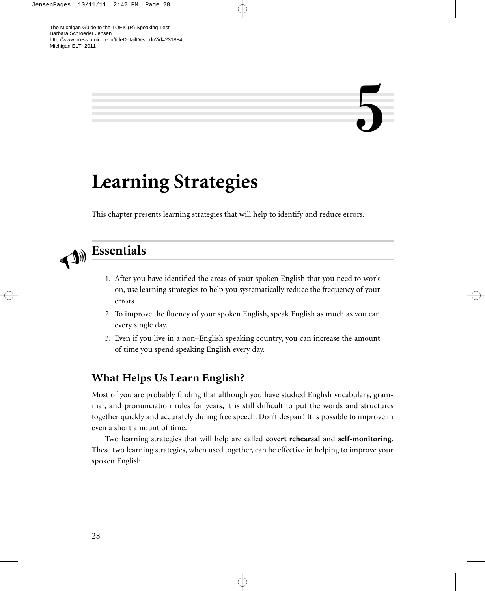# **5**

# **Learning Strategies**

This chapter presents learning strategies that will help to identify and reduce errors.



# **Essentials**

- 1. After you have identified the areas of your spoken English that you need to work on, use learning strategies to help you systematically reduce the frequency of your errors.
- 2. To improve the fluency of your spoken English, speak English as much as you can every single day.
- 3. Even if you live in a non–English speaking country, you can increase the amount of time you spend speaking English every day.

### **What Helps Us Learn English?**

Most of you are probably finding that although you have studied English vocabulary, grammar, and pronunciation rules for years, it is still difficult to put the words and structures together quickly and accurately during free speech. Don't despair! It is possible to improve in even a short amount of time.

Two learning strategies that will help are called **covert rehearsal** and **self-monitoring**. These two learning strategies, when used together, can be effective in helping to improve your spoken English.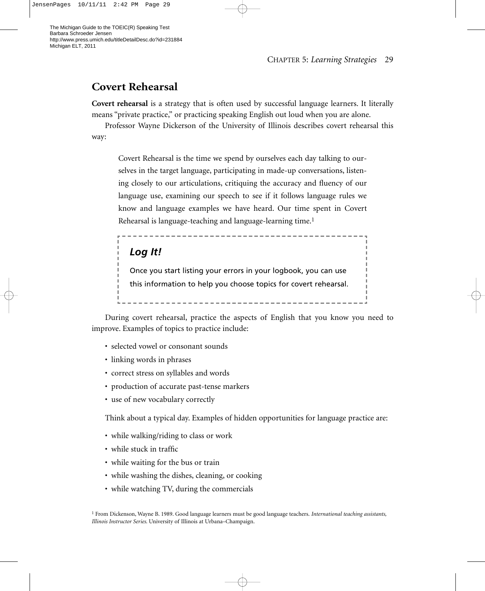## **Covert Rehearsal**

**Covert rehearsal** is a strategy that is often used by successful language learners. It literally means "private practice," or practicing speaking English out loud when you are alone.

Professor Wayne Dickerson of the University of Illinois describes covert rehearsal this way:

Covert Rehearsal is the time we spend by ourselves each day talking to ourselves in the target language, participating in made-up conversations, listening closely to our articulations, critiquing the accuracy and fluency of our language use, examining our speech to see if it follows language rules we know and language examples we have heard. Our time spent in Covert Rehearsal is language-teaching and language-learning time.1

# *Log It!*

Once you start listing your errors in your logbook, you can use this information to help you choose topics for covert rehearsal. 

During covert rehearsal, practice the aspects of English that you know you need to improve. Examples of topics to practice include:

- selected vowel or consonant sounds
- linking words in phrases
- correct stress on syllables and words
- production of accurate past-tense markers
- use of new vocabulary correctly

Think about a typical day. Examples of hidden opportunities for language practice are:

- while walking/riding to class or work
- while stuck in traffic
- while waiting for the bus or train
- while washing the dishes, cleaning, or cooking
- while watching TV, during the commercials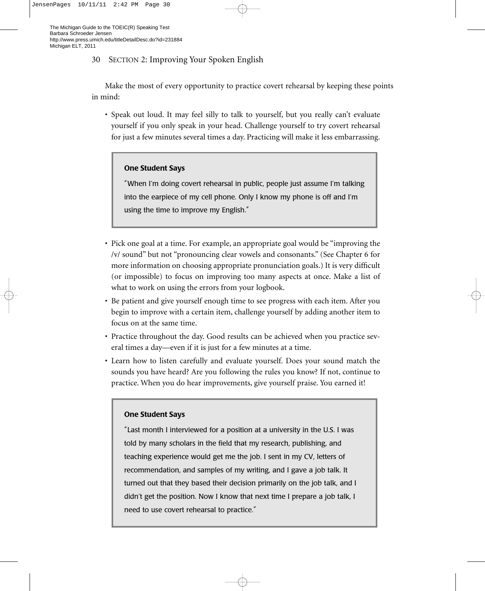#### 30 SECTION 2: Improving Your Spoken English

Make the most of every opportunity to practice covert rehearsal by keeping these points in mind:

• Speak out loud. It may feel silly to talk to yourself, but you really can't evaluate yourself if you only speak in your head. Challenge yourself to try covert rehearsal for just a few minutes several times a day. Practicing will make it less embarrassing.

#### **One Student Says**

"When I'm doing covert rehearsal in public, people just assume I'm talking into the earpiece of my cell phone. Only I know my phone is off and I'm using the time to improve my English."

- Pick one goal at a time. For example, an appropriate goal would be "improving the /v/ sound" but not "pronouncing clear vowels and consonants." (See Chapter 6 for more information on choosing appropriate pronunciation goals.) It is very difficult (or impossible) to focus on improving too many aspects at once. Make a list of what to work on using the errors from your logbook.
- Be patient and give yourself enough time to see progress with each item. After you begin to improve with a certain item, challenge yourself by adding another item to focus on at the same time.
- Practice throughout the day. Good results can be achieved when you practice several times a day—even if it is just for a few minutes at a time.
- Learn how to listen carefully and evaluate yourself. Does your sound match the sounds you have heard? Are you following the rules you know? If not, continue to practice. When you do hear improvements, give yourself praise. You earned it!

#### **One Student Says**

"Last month I interviewed for a position at a university in the U.S. I was told by many scholars in the field that my research, publishing, and teaching experience would get me the job. I sent in my CV, letters of recommendation, and samples of my writing, and I gave a job talk. It turned out that they based their decision primarily on the job talk, and I didn't get the position. Now I know that next time I prepare a job talk, I need to use covert rehearsal to practice."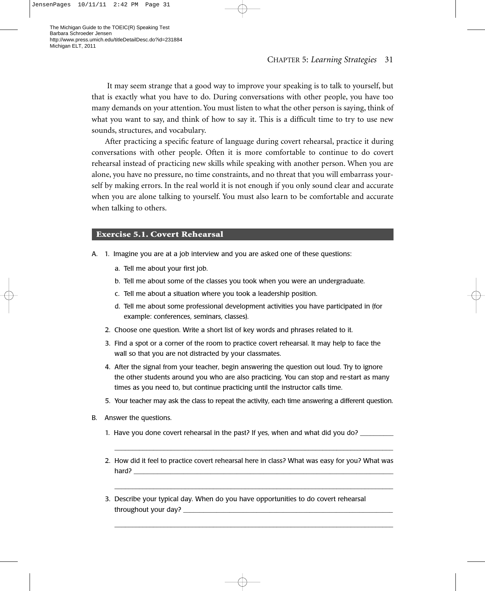It may seem strange that a good way to improve your speaking is to talk to yourself, but that is exactly what you have to do. During conversations with other people, you have too many demands on your attention. You must listen to what the other person is saying, think of what you want to say, and think of how to say it. This is a difficult time to try to use new sounds, structures, and vocabulary.

After practicing a specific feature of language during covert rehearsal, practice it during conversations with other people. Often it is more comfortable to continue to do covert rehearsal instead of practicing new skills while speaking with another person. When you are alone, you have no pressure, no time constraints, and no threat that you will embarrass yourself by making errors. In the real world it is not enough if you only sound clear and accurate when you are alone talking to yourself. You must also learn to be comfortable and accurate when talking to others.

#### **Exercise 5.1. Covert Rehearsal**

- A. 1. Imagine you are at a job interview and you are asked one of these questions:
	- a. Tell me about your first job.
	- b. Tell me about some of the classes you took when you were an undergraduate.
	- c. Tell me about a situation where you took a leadership position.
	- d. Tell me about some professional development activities you have participated in (for example: conferences, seminars, classes).
	- 2. Choose one question. Write a short list of key words and phrases related to it.
	- 3. Find a spot or a corner of the room to practice covert rehearsal. It may help to face the wall so that you are not distracted by your classmates.
	- 4. After the signal from your teacher, begin answering the question out loud. Try to ignore the other students around you who are also practicing. You can stop and re-start as many times as you need to, but continue practicing until the instructor calls time.
	- 5. Your teacher may ask the class to repeat the activity, each time answering a different question.
- B. Answer the questions.
	- 1. Have you done covert rehearsal in the past? If yes, when and what did you do? \_\_\_\_\_\_\_
	- 2. How did it feel to practice covert rehearsal here in class? What was easy for you? What was hard? \_\_\_\_\_\_\_\_\_\_\_\_\_\_\_\_\_\_\_\_\_\_\_\_\_\_\_\_\_\_\_\_\_\_\_\_\_\_\_\_\_\_\_\_\_\_\_\_\_\_\_\_\_\_\_\_\_\_\_\_\_\_\_\_\_\_\_\_\_\_\_\_\_\_\_\_\_\_

\_\_\_\_\_\_\_\_\_\_\_\_\_\_\_\_\_\_\_\_\_\_\_\_\_\_\_\_\_\_\_\_\_\_\_\_\_\_\_\_\_\_\_\_\_\_\_\_\_\_\_\_\_\_\_\_\_\_\_\_\_\_\_\_\_\_\_\_\_\_\_\_\_\_\_\_\_\_\_

\_\_\_\_\_\_\_\_\_\_\_\_\_\_\_\_\_\_\_\_\_\_\_\_\_\_\_\_\_\_\_\_\_\_\_\_\_\_\_\_\_\_\_\_\_\_\_\_\_\_\_\_\_\_\_\_\_\_\_\_\_\_\_\_\_\_\_\_\_\_\_\_\_\_\_\_\_\_\_

\_\_\_\_\_\_\_\_\_\_\_\_\_\_\_\_\_\_\_\_\_\_\_\_\_\_\_\_\_\_\_\_\_\_\_\_\_\_\_\_\_\_\_\_\_\_\_\_\_\_\_\_\_\_\_\_\_\_\_\_\_\_\_\_\_\_\_\_\_\_\_\_\_\_\_\_\_\_\_

3. Describe your typical day. When do you have opportunities to do covert rehearsal throughout your day?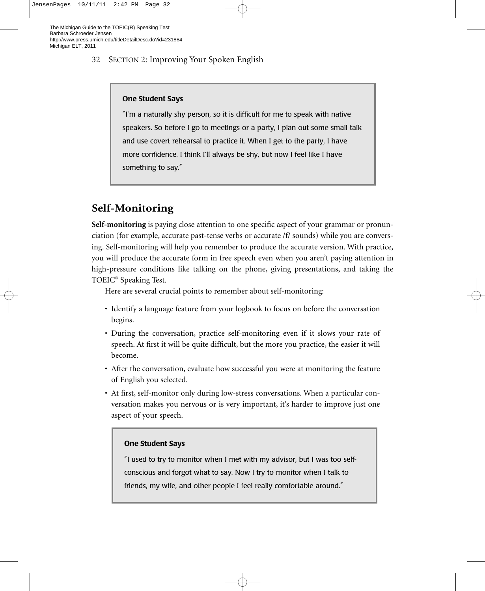#### 32 SECTION 2: Improving Your Spoken English

#### **One Student Says**

"I'm a naturally shy person, so it is difficult for me to speak with native speakers. So before I go to meetings or a party, I plan out some small talk and use covert rehearsal to practice it. When I get to the party, I have more confidence. I think I'll always be shy, but now I feel like I have something to say."

# **Self-Monitoring**

**Self-monitoring** is paying close attention to one specific aspect of your grammar or pronunciation (for example, accurate past-tense verbs or accurate /f/ sounds) while you are conversing. Self-monitoring will help you remember to produce the accurate version. With practice, you will produce the accurate form in free speech even when you aren't paying attention in high-pressure conditions like talking on the phone, giving presentations, and taking the TOEIC® Speaking Test.

Here are several crucial points to remember about self-monitoring:

- Identify a language feature from your logbook to focus on before the conversation begins.
- During the conversation, practice self-monitoring even if it slows your rate of speech. At first it will be quite difficult, but the more you practice, the easier it will become.
- After the conversation, evaluate how successful you were at monitoring the feature of English you selected.
- At first, self-monitor only during low-stress conversations. When a particular conversation makes you nervous or is very important, it's harder to improve just one aspect of your speech.

#### **One Student Says**

"I used to try to monitor when I met with my advisor, but I was too selfconscious and forgot what to say. Now I try to monitor when I talk to friends, my wife, and other people I feel really comfortable around."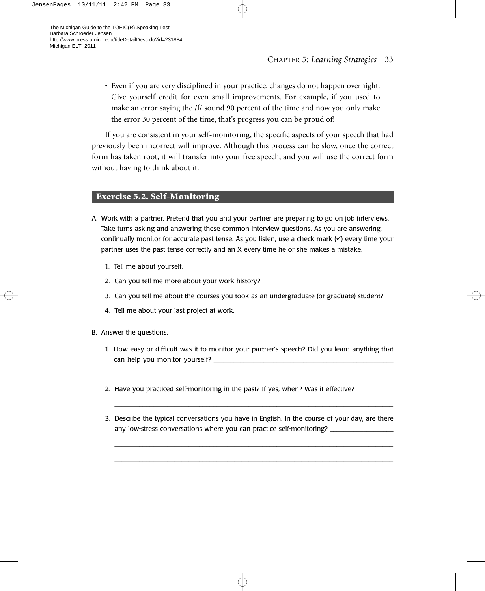• Even if you are very disciplined in your practice, changes do not happen overnight. Give yourself credit for even small improvements. For example, if you used to make an error saying the /f/ sound 90 percent of the time and now you only make the error 30 percent of the time, that's progress you can be proud of!

If you are consistent in your self-monitoring, the specific aspects of your speech that had previously been incorrect will improve. Although this process can be slow, once the correct form has taken root, it will transfer into your free speech, and you will use the correct form without having to think about it.

#### **Exercise 5.2. Self-Monitoring**

- A. Work with a partner. Pretend that you and your partner are preparing to go on job interviews. Take turns asking and answering these common interview questions. As you are answering, continually monitor for accurate past tense. As you listen, use a check mark  $(\checkmark)$  every time your partner uses the past tense correctly and an X every time he or she makes a mistake.
	- 1. Tell me about yourself.
	- 2. Can you tell me more about your work history?
	- 3. Can you tell me about the courses you took as an undergraduate (or graduate) student?
	- 4. Tell me about your last project at work.
- B. Answer the questions.
	- 1. How easy or difficult was it to monitor your partner's speech? Did you learn anything that can help you monitor yourself?

\_\_\_\_\_\_\_\_\_\_\_\_\_\_\_\_\_\_\_\_\_\_\_\_\_\_\_\_\_\_\_\_\_\_\_\_\_\_\_\_\_\_\_\_\_\_\_\_\_\_\_\_\_\_\_\_\_\_\_\_\_\_\_\_\_\_\_\_\_\_\_\_\_\_\_\_\_\_\_

\_\_\_\_\_\_\_\_\_\_\_\_\_\_\_\_\_\_\_\_\_\_\_\_\_\_\_\_\_\_\_\_\_\_\_\_\_\_\_\_\_\_\_\_\_\_\_\_\_\_\_\_\_\_\_\_\_\_\_\_\_\_\_\_\_\_\_\_\_\_\_\_\_\_\_\_\_\_\_

- 2. Have you practiced self-monitoring in the past? If yes, when? Was it effective? \_\_\_\_\_\_\_\_\_\_\_\_\_\_\_\_\_
- 3. Describe the typical conversations you have in English. In the course of your day, are there any low-stress conversations where you can practice self-monitoring? \_\_\_\_\_\_\_\_\_\_\_

\_\_\_\_\_\_\_\_\_\_\_\_\_\_\_\_\_\_\_\_\_\_\_\_\_\_\_\_\_\_\_\_\_\_\_\_\_\_\_\_\_\_\_\_\_\_\_\_\_\_\_\_\_\_\_\_\_\_\_\_\_\_\_\_\_\_\_\_\_\_\_\_\_\_\_\_\_\_\_ \_\_\_\_\_\_\_\_\_\_\_\_\_\_\_\_\_\_\_\_\_\_\_\_\_\_\_\_\_\_\_\_\_\_\_\_\_\_\_\_\_\_\_\_\_\_\_\_\_\_\_\_\_\_\_\_\_\_\_\_\_\_\_\_\_\_\_\_\_\_\_\_\_\_\_\_\_\_\_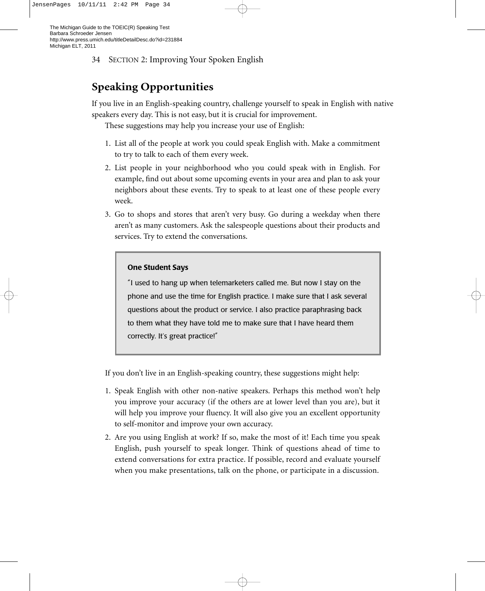34 SECTION 2: Improving Your Spoken English

# **Speaking Opportunities**

If you live in an English-speaking country, challenge yourself to speak in English with native speakers every day. This is not easy, but it is crucial for improvement.

These suggestions may help you increase your use of English:

- 1. List all of the people at work you could speak English with. Make a commitment to try to talk to each of them every week.
- 2. List people in your neighborhood who you could speak with in English. For example, find out about some upcoming events in your area and plan to ask your neighbors about these events. Try to speak to at least one of these people every week.
- 3. Go to shops and stores that aren't very busy. Go during a weekday when there aren't as many customers. Ask the salespeople questions about their products and services. Try to extend the conversations.

#### **One Student Says**

"I used to hang up when telemarketers called me. But now I stay on the phone and use the time for English practice. I make sure that I ask several questions about the product or service. I also practice paraphrasing back to them what they have told me to make sure that I have heard them correctly. It's great practice!"

If you don't live in an English-speaking country, these suggestions might help:

- 1. Speak English with other non-native speakers. Perhaps this method won't help you improve your accuracy (if the others are at lower level than you are), but it will help you improve your fluency. It will also give you an excellent opportunity to self-monitor and improve your own accuracy.
- 2. Are you using English at work? If so, make the most of it! Each time you speak English, push yourself to speak longer. Think of questions ahead of time to extend conversations for extra practice. If possible, record and evaluate yourself when you make presentations, talk on the phone, or participate in a discussion.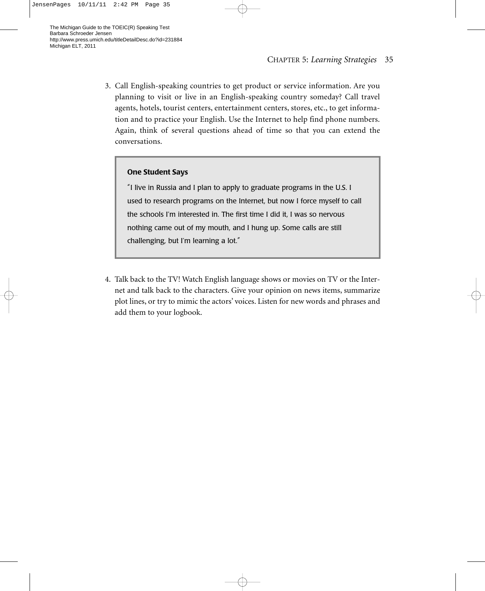3. Call English-speaking countries to get product or service information. Are you planning to visit or live in an English-speaking country someday? Call travel agents, hotels, tourist centers, entertainment centers, stores, etc., to get information and to practice your English. Use the Internet to help find phone numbers. Again, think of several questions ahead of time so that you can extend the conversations.

#### **One Student Says**

"I live in Russia and I plan to apply to graduate programs in the U.S. I used to research programs on the Internet, but now I force myself to call the schools I'm interested in. The first time I did it, I was so nervous nothing came out of my mouth, and I hung up. Some calls are still challenging, but I'm learning a lot."

4. Talk back to the TV! Watch English language shows or movies on TV or the Internet and talk back to the characters. Give your opinion on news items, summarize plot lines, or try to mimic the actors' voices. Listen for new words and phrases and add them to your logbook.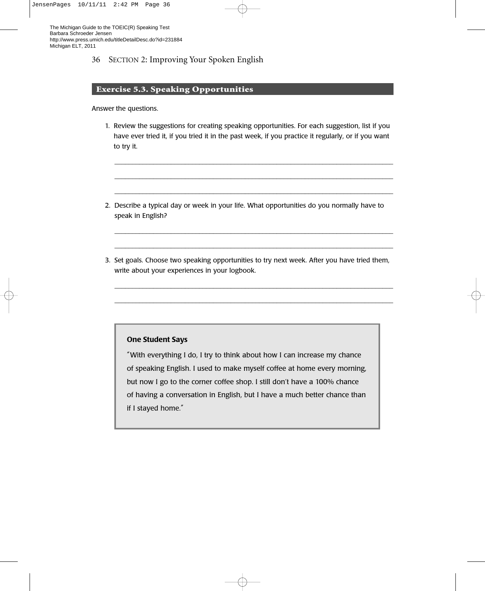#### 36 SECTION 2: Improving Your Spoken English

#### **Exercise 5.3. Speaking Opportunities**

Answer the questions.

1. Review the suggestions for creating speaking opportunities. For each suggestion, list if you have ever tried it, if you tried it in the past week, if you practice it regularly, or if you want to try it.

\_\_\_\_\_\_\_\_\_\_\_\_\_\_\_\_\_\_\_\_\_\_\_\_\_\_\_\_\_\_\_\_\_\_\_\_\_\_\_\_\_\_\_\_\_\_\_\_\_\_\_\_\_\_\_\_\_\_\_\_\_\_\_\_\_\_\_\_\_\_\_\_\_\_\_\_\_\_\_ \_\_\_\_\_\_\_\_\_\_\_\_\_\_\_\_\_\_\_\_\_\_\_\_\_\_\_\_\_\_\_\_\_\_\_\_\_\_\_\_\_\_\_\_\_\_\_\_\_\_\_\_\_\_\_\_\_\_\_\_\_\_\_\_\_\_\_\_\_\_\_\_\_\_\_\_\_\_\_ \_\_\_\_\_\_\_\_\_\_\_\_\_\_\_\_\_\_\_\_\_\_\_\_\_\_\_\_\_\_\_\_\_\_\_\_\_\_\_\_\_\_\_\_\_\_\_\_\_\_\_\_\_\_\_\_\_\_\_\_\_\_\_\_\_\_\_\_\_\_\_\_\_\_\_\_\_\_\_

- 2. Describe a typical day or week in your life. What opportunities do you normally have to speak in English?
- 3. Set goals. Choose two speaking opportunities to try next week. After you have tried them, write about your experiences in your logbook.

\_\_\_\_\_\_\_\_\_\_\_\_\_\_\_\_\_\_\_\_\_\_\_\_\_\_\_\_\_\_\_\_\_\_\_\_\_\_\_\_\_\_\_\_\_\_\_\_\_\_\_\_\_\_\_\_\_\_\_\_\_\_\_\_\_\_\_\_\_\_\_\_\_\_\_\_\_\_\_ \_\_\_\_\_\_\_\_\_\_\_\_\_\_\_\_\_\_\_\_\_\_\_\_\_\_\_\_\_\_\_\_\_\_\_\_\_\_\_\_\_\_\_\_\_\_\_\_\_\_\_\_\_\_\_\_\_\_\_\_\_\_\_\_\_\_\_\_\_\_\_\_\_\_\_\_\_\_\_

\_\_\_\_\_\_\_\_\_\_\_\_\_\_\_\_\_\_\_\_\_\_\_\_\_\_\_\_\_\_\_\_\_\_\_\_\_\_\_\_\_\_\_\_\_\_\_\_\_\_\_\_\_\_\_\_\_\_\_\_\_\_\_\_\_\_\_\_\_\_\_\_\_\_\_\_\_\_\_ \_\_\_\_\_\_\_\_\_\_\_\_\_\_\_\_\_\_\_\_\_\_\_\_\_\_\_\_\_\_\_\_\_\_\_\_\_\_\_\_\_\_\_\_\_\_\_\_\_\_\_\_\_\_\_\_\_\_\_\_\_\_\_\_\_\_\_\_\_\_\_\_\_\_\_\_\_\_\_

#### **One Student Says**

"With everything I do, I try to think about how I can increase my chance of speaking English. I used to make myself coffee at home every morning, but now I go to the corner coffee shop. I still don't have a 100% chance of having a conversation in English, but I have a much better chance than if I stayed home."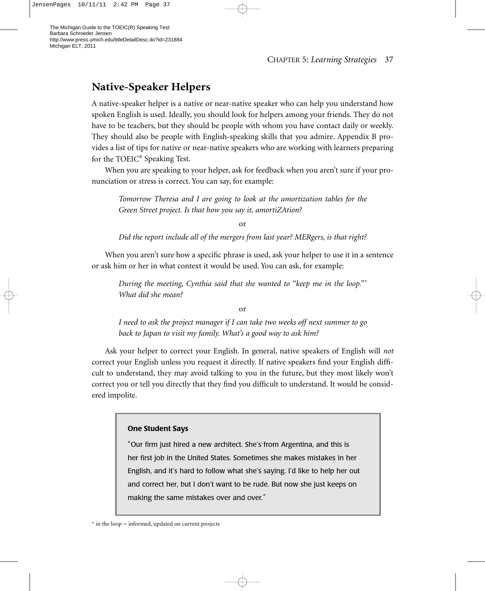# **Native-Speaker Helpers**

A native-speaker helper is a native or near-native speaker who can help you understand how spoken English is used. Ideally, you should look for helpers among your friends. They do not have to be teachers, but they should be people with whom you have contact daily or weekly. They should also be people with English-speaking skills that you admire. Appendix B provides a list of tips for native or near-native speakers who are working with learners preparing for the TOEIC® Speaking Test.

When you are speaking to your helper, ask for feedback when you aren't sure if your pronunciation or stress is correct. You can say, for example:

*Tomorrow Theresa and I are going to look at the amortization tables for the Green Street project. Is that how you say it, amortiZAtion?*

or

*Did the report include all of the mergers from last year? MERgers, is that right?* 

When you aren't sure how a specific phrase is used, ask your helper to use it in a sentence or ask him or her in what context it would be used. You can ask, for example:

*During the meeting, Cynthia said that she wanted to "keep me in the loop."\* What did she mean?*

or

*I need to ask the project manager if I can take two weeks off next summer to go back to Japan to visit my family. What's a good way to ask him?* 

Ask your helper to correct your English. In general, native speakers of English will *not* correct your English unless you request it directly. If native speakers find your English difficult to understand, they may avoid talking to you in the future, but they most likely won't correct you or tell you directly that they find you difficult to understand. It would be considered impolite.

#### **One Student Says**

"Our firm just hired a new architect. She's from Argentina, and this is her first job in the United States. Sometimes she makes mistakes in her English, and it's hard to follow what she's saying. I'd like to help her out and correct her, but I don't want to be rude. But now she just keeps on making the same mistakes over and over."